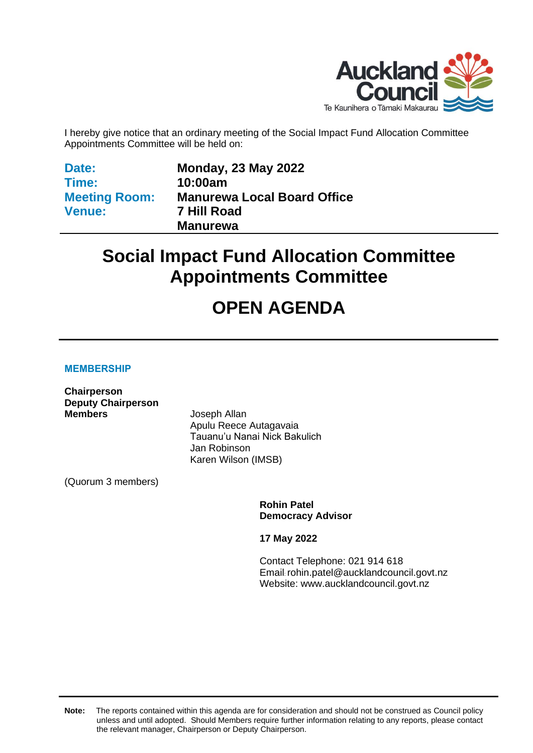

I hereby give notice that an ordinary meeting of the Social Impact Fund Allocation Committee Appointments Committee will be held on:

**Date: Time: Meeting Room: Venue:**

**Monday, 23 May 2022 10:00am Manurewa Local Board Office 7 Hill Road Manurewa**

# **Social Impact Fund Allocation Committee Appointments Committee**

# **OPEN AGENDA**

#### **MEMBERSHIP**

**Chairperson Deputy Chairperson Members** Joseph Allan

Apulu Reece Autagavaia Tauanu'u Nanai Nick Bakulich Jan Robinson Karen Wilson (IMSB)

(Quorum 3 members)

**Rohin Patel Democracy Advisor**

**17 May 2022**

Contact Telephone: 021 914 618 Email: rohin.patel@aucklandcouncil.govt.nz Website: www.aucklandcouncil.govt.nz

**Note:** The reports contained within this agenda are for consideration and should not be construed as Council policy unless and until adopted. Should Members require further information relating to any reports, please contact the relevant manager, Chairperson or Deputy Chairperson.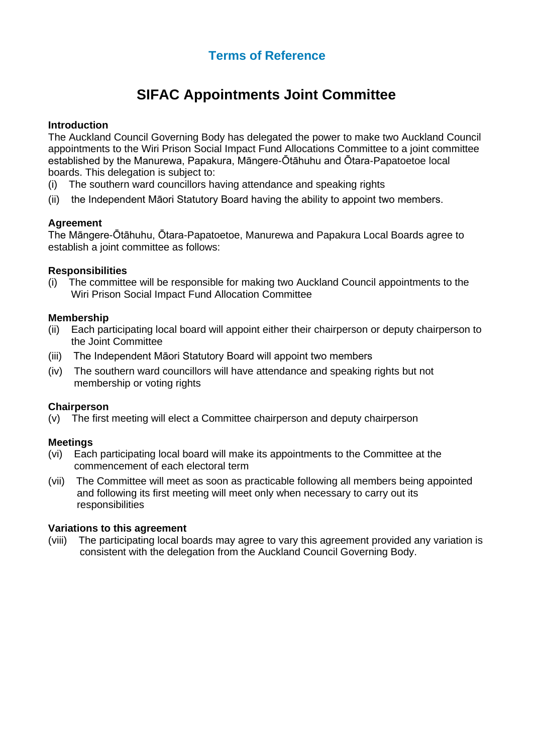### **Terms of Reference**

## **SIFAC Appointments Joint Committee**

#### **Introduction**

The Auckland Council Governing Body has delegated the power to make two Auckland Council appointments to the Wiri Prison Social Impact Fund Allocations Committee to a joint committee established by the Manurewa, Papakura, Māngere-Ōtāhuhu and Ōtara-Papatoetoe local boards. This delegation is subject to:

- (i) The southern ward councillors having attendance and speaking rights
- (ii) the Independent Māori Statutory Board having the ability to appoint two members.

#### **Agreement**

The Māngere-Ōtāhuhu, Ōtara-Papatoetoe, Manurewa and Papakura Local Boards agree to establish a joint committee as follows:

#### **Responsibilities**

(i) The committee will be responsible for making two Auckland Council appointments to the Wiri Prison Social Impact Fund Allocation Committee

#### **Membership**

- (ii) Each participating local board will appoint either their chairperson or deputy chairperson to the Joint Committee
- (iii) The Independent Māori Statutory Board will appoint two members
- (iv) The southern ward councillors will have attendance and speaking rights but not membership or voting rights

#### **Chairperson**

(v) The first meeting will elect a Committee chairperson and deputy chairperson

#### **Meetings**

- (vi) Each participating local board will make its appointments to the Committee at the commencement of each electoral term
- (vii) The Committee will meet as soon as practicable following all members being appointed and following its first meeting will meet only when necessary to carry out its responsibilities

#### **Variations to this agreement**

(viii) The participating local boards may agree to vary this agreement provided any variation is consistent with the delegation from the Auckland Council Governing Body.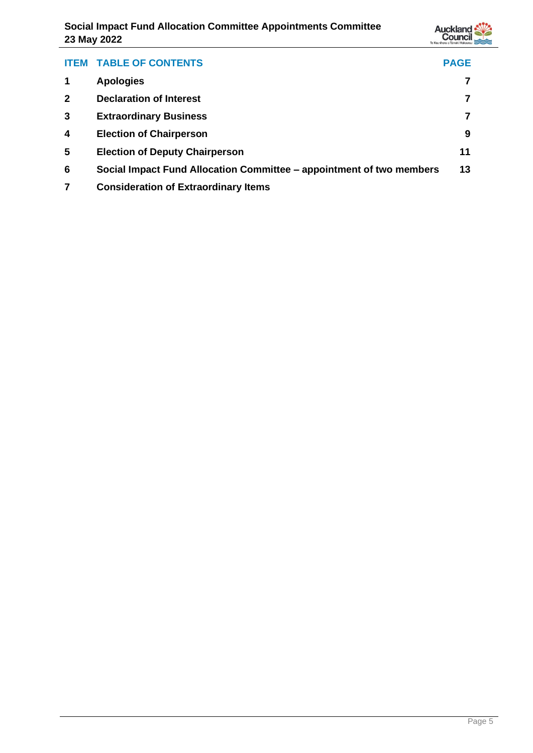

| <b>ITEM</b>  | <b>TABLE OF CONTENTS</b>                                             | <b>PAGE</b> |
|--------------|----------------------------------------------------------------------|-------------|
|              | <b>Apologies</b>                                                     |             |
| $\mathbf{2}$ | <b>Declaration of Interest</b>                                       |             |
| 3            | <b>Extraordinary Business</b>                                        |             |
| 4            | <b>Election of Chairperson</b>                                       | 9           |
| 5            | <b>Election of Deputy Chairperson</b>                                | 11          |
| 6            | Social Impact Fund Allocation Committee – appointment of two members | 13          |
|              | <b>Consideration of Extraordinary Items</b>                          |             |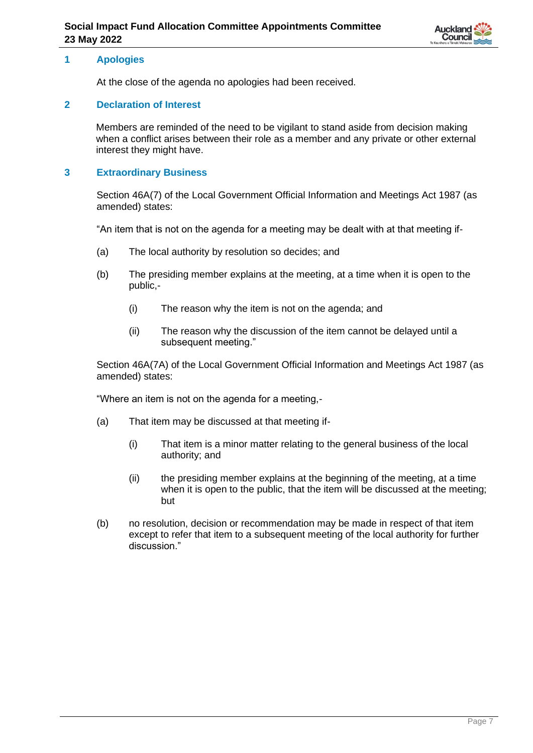

#### <span id="page-6-0"></span>**1 Apologies**

At the close of the agenda no apologies had been received.

#### <span id="page-6-1"></span>**2 Declaration of Interest**

Members are reminded of the need to be vigilant to stand aside from decision making when a conflict arises between their role as a member and any private or other external interest they might have.

#### <span id="page-6-2"></span>**3 Extraordinary Business**

Section 46A(7) of the Local Government Official Information and Meetings Act 1987 (as amended) states:

"An item that is not on the agenda for a meeting may be dealt with at that meeting if-

- (a) The local authority by resolution so decides; and
- (b) The presiding member explains at the meeting, at a time when it is open to the public,-
	- (i) The reason why the item is not on the agenda; and
	- (ii) The reason why the discussion of the item cannot be delayed until a subsequent meeting."

Section 46A(7A) of the Local Government Official Information and Meetings Act 1987 (as amended) states:

"Where an item is not on the agenda for a meeting,-

- (a) That item may be discussed at that meeting if-
	- (i) That item is a minor matter relating to the general business of the local authority; and
	- (ii) the presiding member explains at the beginning of the meeting, at a time when it is open to the public, that the item will be discussed at the meeting; but
- (b) no resolution, decision or recommendation may be made in respect of that item except to refer that item to a subsequent meeting of the local authority for further discussion."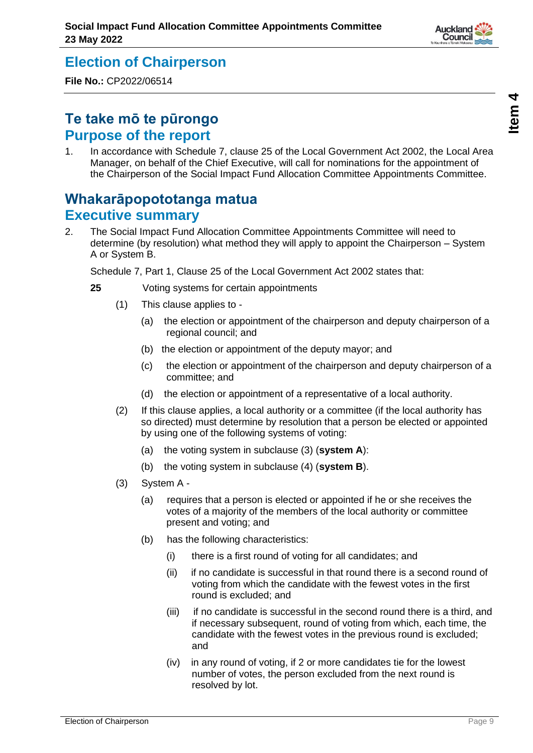# <span id="page-8-0"></span>**Election of Chairperson**

**File No.:** CP2022/06514

## **Te take mō te pūrongo Purpose of the report**

1. In accordance with Schedule 7, clause 25 of the Local Government Act 2002, the Local Area Manager, on behalf of the Chief Executive, will call for nominations for the appointment of the Chairperson of the Social Impact Fund Allocation Committee Appointments Committee.

## **Whakarāpopototanga matua Executive summary**

2. The Social Impact Fund Allocation Committee Appointments Committee will need to determine (by resolution) what method they will apply to appoint the Chairperson – System A or System B.

Schedule 7, Part 1, Clause 25 of the Local Government Act 2002 states that:

- **25** Voting systems for certain appointments
	- (1) This clause applies to
		- (a) the election or appointment of the chairperson and deputy chairperson of a regional council; and
		- (b) the election or appointment of the deputy mayor; and
		- (c) the election or appointment of the chairperson and deputy chairperson of a committee; and
		- (d) the election or appointment of a representative of a local authority.
	- (2) If this clause applies, a local authority or a committee (if the local authority has so directed) must determine by resolution that a person be elected or appointed by using one of the following systems of voting:
		- (a) the voting system in subclause (3) (**system A**):
		- (b) the voting system in subclause (4) (**system B**).
	- (3) System A
		- (a) requires that a person is elected or appointed if he or she receives the votes of a majority of the members of the local authority or committee present and voting; and
		- (b) has the following characteristics:
			- (i) there is a first round of voting for all candidates; and
			- (ii) if no candidate is successful in that round there is a second round of voting from which the candidate with the fewest votes in the first round is excluded; and
			- (iii) if no candidate is successful in the second round there is a third, and if necessary subsequent, round of voting from which, each time, the candidate with the fewest votes in the previous round is excluded; and
			- (iv) in any round of voting, if 2 or more candidates tie for the lowest number of votes, the person excluded from the next round is resolved by lot.

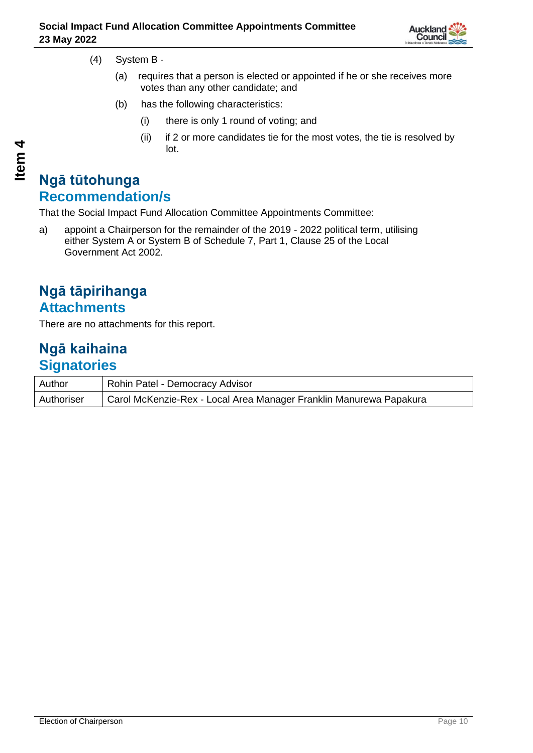

- (4) System B
	- (a) requires that a person is elected or appointed if he or she receives more votes than any other candidate; and
	- (b) has the following characteristics:
		- (i) there is only 1 round of voting; and
		- (ii) if 2 or more candidates tie for the most votes, the tie is resolved by lot.

## **Ngā tūtohunga Recommendation/s**

That the Social Impact Fund Allocation Committee Appointments Committee:

a) appoint a Chairperson for the remainder of the 2019 - 2022 political term, utilising either System A or System B of Schedule 7, Part 1, Clause 25 of the Local Government Act 2002.

## **Ngā tāpirihanga Attachments**

There are no attachments for this report.

### **Ngā kaihaina Signatories**

| Author     | Rohin Patel - Democracy Advisor                                    |
|------------|--------------------------------------------------------------------|
| Authoriser | Carol McKenzie-Rex - Local Area Manager Franklin Manurewa Papakura |

**4**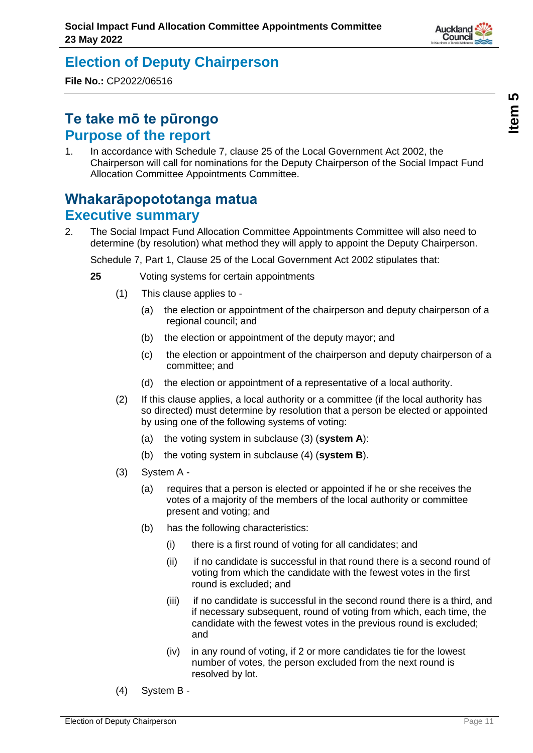## <span id="page-10-0"></span>**Election of Deputy Chairperson**

**File No.:** CP2022/06516

## **Te take mō te pūrongo Purpose of the report**

1. In accordance with Schedule 7, clause 25 of the Local Government Act 2002, the Chairperson will call for nominations for the Deputy Chairperson of the Social Impact Fund Allocation Committee Appointments Committee.

## **Whakarāpopototanga matua Executive summary**

2. The Social Impact Fund Allocation Committee Appointments Committee will also need to determine (by resolution) what method they will apply to appoint the Deputy Chairperson.

Schedule 7, Part 1, Clause 25 of the Local Government Act 2002 stipulates that:

- **25** Voting systems for certain appointments
	- (1) This clause applies to
		- (a) the election or appointment of the chairperson and deputy chairperson of a regional council; and
		- (b) the election or appointment of the deputy mayor; and
		- (c) the election or appointment of the chairperson and deputy chairperson of a committee; and
		- (d) the election or appointment of a representative of a local authority.
	- (2) If this clause applies, a local authority or a committee (if the local authority has so directed) must determine by resolution that a person be elected or appointed by using one of the following systems of voting:
		- (a) the voting system in subclause (3) (**system A**):
		- (b) the voting system in subclause (4) (**system B**).
	- (3) System A
		- (a) requires that a person is elected or appointed if he or she receives the votes of a majority of the members of the local authority or committee present and voting; and
		- (b) has the following characteristics:
			- (i) there is a first round of voting for all candidates; and
			- (ii) if no candidate is successful in that round there is a second round of voting from which the candidate with the fewest votes in the first round is excluded; and
			- (iii) if no candidate is successful in the second round there is a third, and if necessary subsequent, round of voting from which, each time, the candidate with the fewest votes in the previous round is excluded; and
			- (iv) in any round of voting, if 2 or more candidates tie for the lowest number of votes, the person excluded from the next round is resolved by lot.
	- (4) System B -



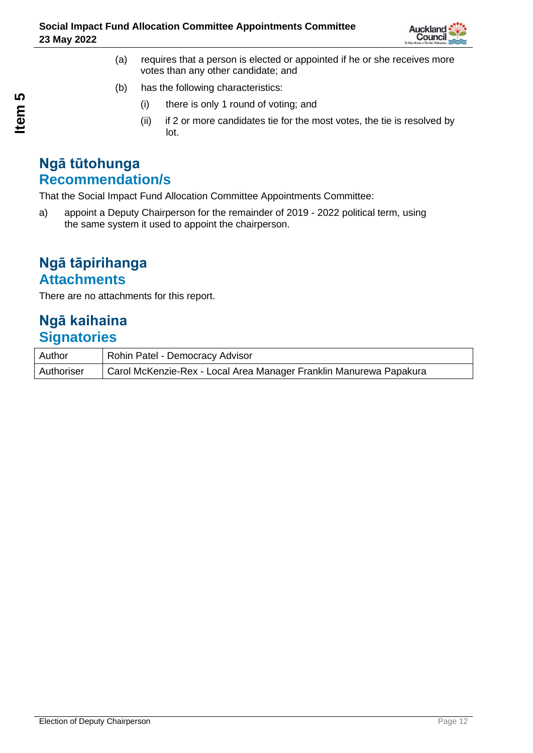

- (a) requires that a person is elected or appointed if he or she receives more votes than any other candidate; and
- (b) has the following characteristics:
	- (i) there is only 1 round of voting; and
	- (ii) if 2 or more candidates tie for the most votes, the tie is resolved by lot.

### **Ngā tūtohunga Recommendation/s**

That the Social Impact Fund Allocation Committee Appointments Committee:

a) appoint a Deputy Chairperson for the remainder of 2019 - 2022 political term, using the same system it used to appoint the chairperson.

### **Ngā tāpirihanga Attachments**

There are no attachments for this report.

## **Ngā kaihaina Signatories**

| Author     | Rohin Patel - Democracy Advisor                                    |
|------------|--------------------------------------------------------------------|
| Authoriser | Carol McKenzie-Rex - Local Area Manager Franklin Manurewa Papakura |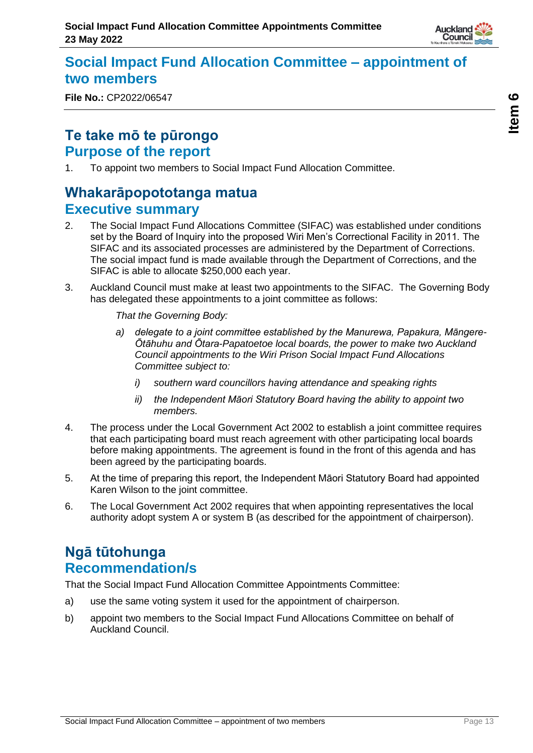

## <span id="page-12-0"></span>**Social Impact Fund Allocation Committee – appointment of two members**

**File No.:** CP2022/06547

## **Te take mō te pūrongo Purpose of the report**

1. To appoint two members to Social Impact Fund Allocation Committee.

## **Whakarāpopototanga matua Executive summary**

- 2. The Social Impact Fund Allocations Committee (SIFAC) was established under conditions set by the Board of Inquiry into the proposed Wiri Men's Correctional Facility in 2011. The SIFAC and its associated processes are administered by the Department of Corrections. The social impact fund is made available through the Department of Corrections, and the SIFAC is able to allocate \$250,000 each year.
- 3. Auckland Council must make at least two appointments to the SIFAC. The Governing Body has delegated these appointments to a joint committee as follows:

*That the Governing Body:*

- *a) delegate to a joint committee established by the Manurewa, Papakura, Māngere-Ōtāhuhu and Ōtara-Papatoetoe local boards, the power to make two Auckland Council appointments to the Wiri Prison Social Impact Fund Allocations Committee subject to:*
	- *i) southern ward councillors having attendance and speaking rights*
	- *ii) the Independent Māori Statutory Board having the ability to appoint two members.*
- 4. The process under the Local Government Act 2002 to establish a joint committee requires that each participating board must reach agreement with other participating local boards before making appointments. The agreement is found in the front of this agenda and has been agreed by the participating boards.
- 5. At the time of preparing this report, the Independent Māori Statutory Board had appointed Karen Wilson to the joint committee.
- 6. The Local Government Act 2002 requires that when appointing representatives the local authority adopt system A or system B (as described for the appointment of chairperson).

## **Ngā tūtohunga Recommendation/s**

That the Social Impact Fund Allocation Committee Appointments Committee:

- a) use the same voting system it used for the appointment of chairperson.
- b) appoint two members to the Social Impact Fund Allocations Committee on behalf of Auckland Council.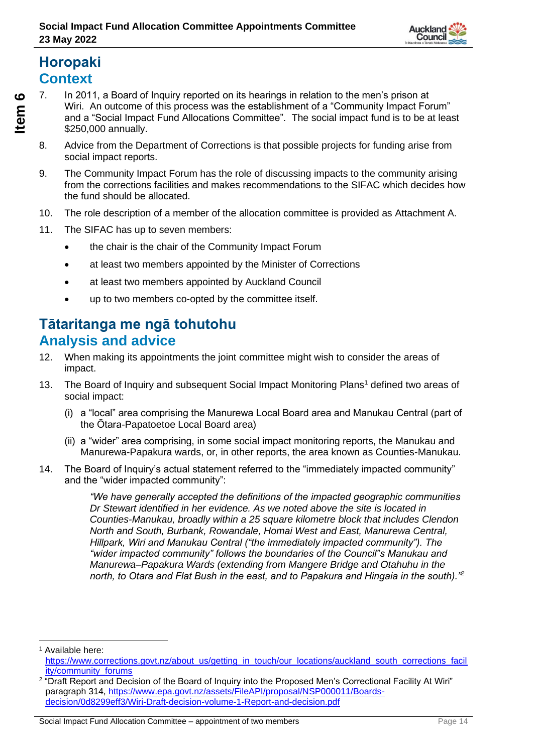

# **Horopaki Context**

**Item** 

**6**

- 7. In 2011, a Board of Inquiry reported on its hearings in relation to the men's prison at Wiri. An outcome of this process was the establishment of a "Community Impact Forum" and a "Social Impact Fund Allocations Committee". The social impact fund is to be at least \$250,000 annually.
- 8. Advice from the Department of Corrections is that possible projects for funding arise from social impact reports.
- 9. The Community Impact Forum has the role of discussing impacts to the community arising from the corrections facilities and makes recommendations to the SIFAC which decides how the fund should be allocated.
- 10. The role description of a member of the allocation committee is provided as Attachment A.
- 11. The SIFAC has up to seven members:
	- the chair is the chair of the Community Impact Forum
	- at least two members appointed by the Minister of Corrections
	- at least two members appointed by Auckland Council
	- up to two members co-opted by the committee itself.

## **Tātaritanga me ngā tohutohu Analysis and advice**

- 12. When making its appointments the joint committee might wish to consider the areas of impact.
- 13. The Board of Inquiry and subsequent Social Impact Monitoring Plans<sup>1</sup> defined two areas of social impact:
	- (i) a "local" area comprising the Manurewa Local Board area and Manukau Central (part of the Ōtara-Papatoetoe Local Board area)
	- (ii) a "wider" area comprising, in some social impact monitoring reports, the Manukau and Manurewa-Papakura wards, or, in other reports, the area known as Counties-Manukau.
- 14. The Board of Inquiry's actual statement referred to the "immediately impacted community" and the "wider impacted community":

*"We have generally accepted the definitions of the impacted geographic communities Dr Stewart identified in her evidence. As we noted above the site is located in Counties-Manukau, broadly within a 25 square kilometre block that includes Clendon North and South, Burbank, Rowandale, Homai West and East, Manurewa Central, Hillpark, Wiri and Manukau Central ("the immediately impacted community"). The "wider impacted community" follows the boundaries of the Council"s Manukau and Manurewa–Papakura Wards (extending from Mangere Bridge and Otahuhu in the north, to Otara and Flat Bush in the east, and to Papakura and Hingaia in the south)."<sup>2</sup>*

<sup>1</sup> Available here: [https://www.corrections.govt.nz/about\\_us/getting\\_in\\_touch/our\\_locations/auckland\\_south\\_corrections\\_facil](https://www.corrections.govt.nz/about_us/getting_in_touch/our_locations/auckland_south_corrections_facility/community_forums) [ity/community\\_forums](https://www.corrections.govt.nz/about_us/getting_in_touch/our_locations/auckland_south_corrections_facility/community_forums)

<sup>2</sup> "Draft Report and Decision of the Board of Inquiry into the Proposed Men's Correctional Facility At Wiri" paragraph 314, [https://www.epa.govt.nz/assets/FileAPI/proposal/NSP000011/Boards](https://www.epa.govt.nz/assets/FileAPI/proposal/NSP000011/Boards-decision/0d8299eff3/Wiri-Draft-decision-volume-1-Report-and-decision.pdf)[decision/0d8299eff3/Wiri-Draft-decision-volume-1-Report-and-decision.pdf](https://www.epa.govt.nz/assets/FileAPI/proposal/NSP000011/Boards-decision/0d8299eff3/Wiri-Draft-decision-volume-1-Report-and-decision.pdf)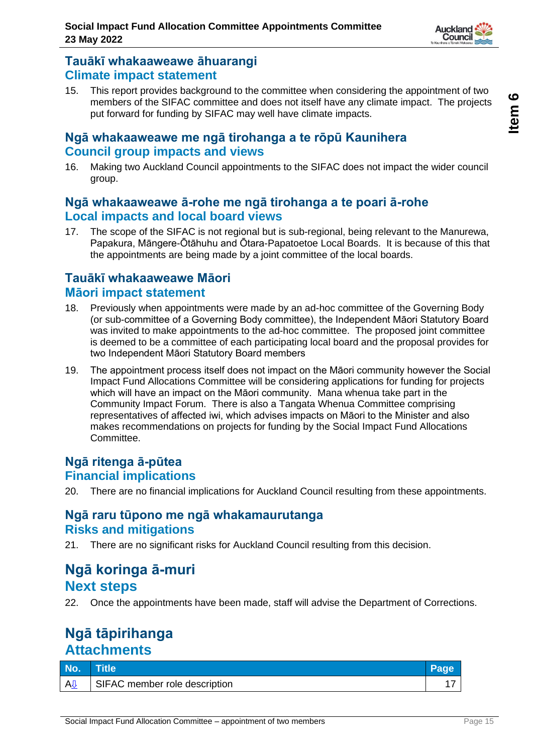

#### **Tauākī whakaaweawe āhuarangi Climate impact statement**

15. This report provides background to the committee when considering the appointment of two members of the SIFAC committee and does not itself have any climate impact. The projects put forward for funding by SIFAC may well have climate impacts.

### **Ngā whakaaweawe me ngā tirohanga a te rōpū Kaunihera Council group impacts and views**

16. Making two Auckland Council appointments to the SIFAC does not impact the wider council group.

### **Ngā whakaaweawe ā-rohe me ngā tirohanga a te poari ā-rohe Local impacts and local board views**

17. The scope of the SIFAC is not regional but is sub-regional, being relevant to the Manurewa, Papakura, Māngere-Ōtāhuhu and Ōtara-Papatoetoe Local Boards. It is because of this that the appointments are being made by a joint committee of the local boards.

### **Tauākī whakaaweawe Māori Māori impact statement**

- 18. Previously when appointments were made by an ad-hoc committee of the Governing Body (or sub-committee of a Governing Body committee), the Independent Māori Statutory Board was invited to make appointments to the ad-hoc committee. The proposed joint committee is deemed to be a committee of each participating local board and the proposal provides for two Independent Māori Statutory Board members
- 19. The appointment process itself does not impact on the Māori community however the Social Impact Fund Allocations Committee will be considering applications for funding for projects which will have an impact on the Māori community. Mana whenua take part in the Community Impact Forum. There is also a Tangata Whenua Committee comprising representatives of affected iwi, which advises impacts on Māori to the Minister and also makes recommendations on projects for funding by the Social Impact Fund Allocations Committee.

#### **Ngā ritenga ā-pūtea Financial implications**

20. There are no financial implications for Auckland Council resulting from these appointments.

### **Ngā raru tūpono me ngā whakamaurutanga Risks and mitigations**

21. There are no significant risks for Auckland Council resulting from this decision.

### **Ngā koringa ā-muri Next steps**

22. Once the appointments have been made, staff will advise the Department of Corrections.

## **Ngā tāpirihanga Attachments**

| No.                  | <b>Title</b>                  |  |
|----------------------|-------------------------------|--|
| <b>A</b> <sup></sup> | SIFAC member role description |  |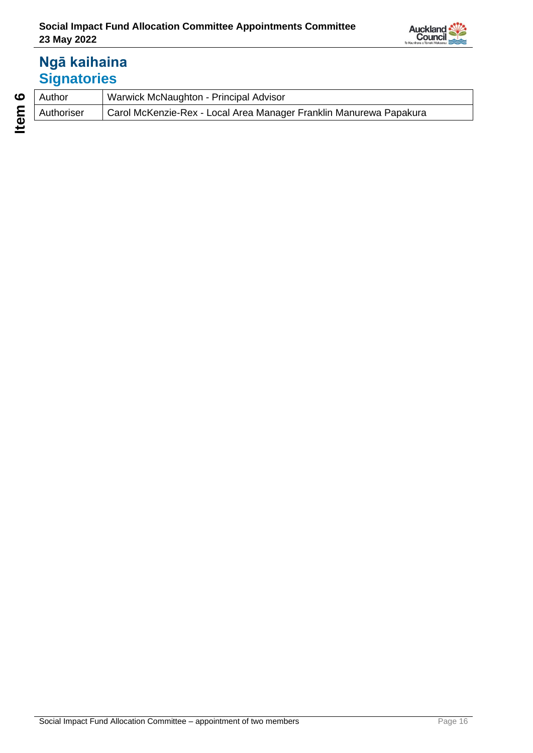

# **Ngā kaihaina Signatories**

| Author     | Warwick McNaughton - Principal Advisor                             |
|------------|--------------------------------------------------------------------|
| Authoriser | Carol McKenzie-Rex - Local Area Manager Franklin Manurewa Papakura |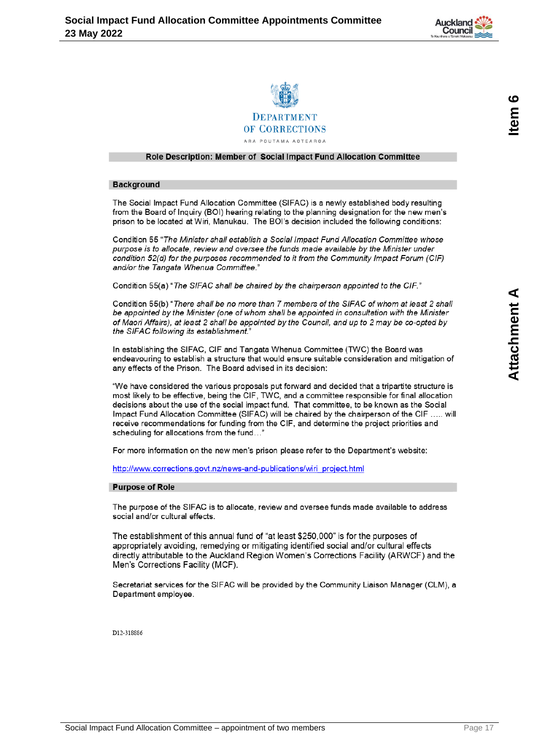



#### <span id="page-16-0"></span>Role Description: Member of Social Impact Fund Allocation Committee

#### **Background**

The Social Impact Fund Allocation Committee (SIFAC) is a newly established body resulting from the Board of Inquiry (BOI) hearing relating to the planning designation for the new men's prison to be located at Wiri, Manukau. The BOI's decision included the following conditions:

Condition 55 "The Minister shall establish a Social Impact Fund Allocation Committee whose purpose is to allocate, review and oversee the funds made available by the Minister under condition 52(d) for the purposes recommended to it from the Community Impact Forum (CIF) and/or the Tangata Whenua Committee."

Condition 55(a) "The SIFAC shall be chaired by the chairperson appointed to the CIF."

Condition 55(b) "There shall be no more than 7 members of the SIFAC of whom at least 2 shall be appointed by the Minister (one of whom shall be appointed in consultation with the Minister of Maori Affairs), at least 2 shall be appointed by the Council, and up to 2 may be co-opted by the SIFAC following its establishment.

In establishing the SIFAC, CIF and Tangata Whenua Committee (TWC) the Board was endeavouring to establish a structure that would ensure suitable consideration and mitigation of any effects of the Prison. The Board advised in its decision:

"We have considered the various proposals put forward and decided that a tripartite structure is most likely to be effective, being the CIF, TWC, and a committee responsible for final allocation decisions about the use of the social impact fund. That committee, to be known as the Social Impact Fund Allocation Committee (SIFAC) will be chaired by the chairperson of the CIF ..... will receive recommendations for funding from the CIF, and determine the project priorities and scheduling for allocations from the fund..."

For more information on the new men's prison please refer to the Department's website:

http://www.corrections.govt.nz/news-and-publications/wiri project.html

#### **Purpose of Role**

The purpose of the SIFAC is to allocate, review and oversee funds made available to address social and/or cultural effects

The establishment of this annual fund of "at least \$250,000" is for the purposes of appropriately avoiding, remedying or mitigating identified social and/or cultural effects directly attributable to the Auckland Region Women's Corrections Facility (ARWCF) and the Men's Corrections Facility (MCF).

Secretariat services for the SIFAC will be provided by the Community Liaison Manager (CLM), a Department employee.

D12-318886